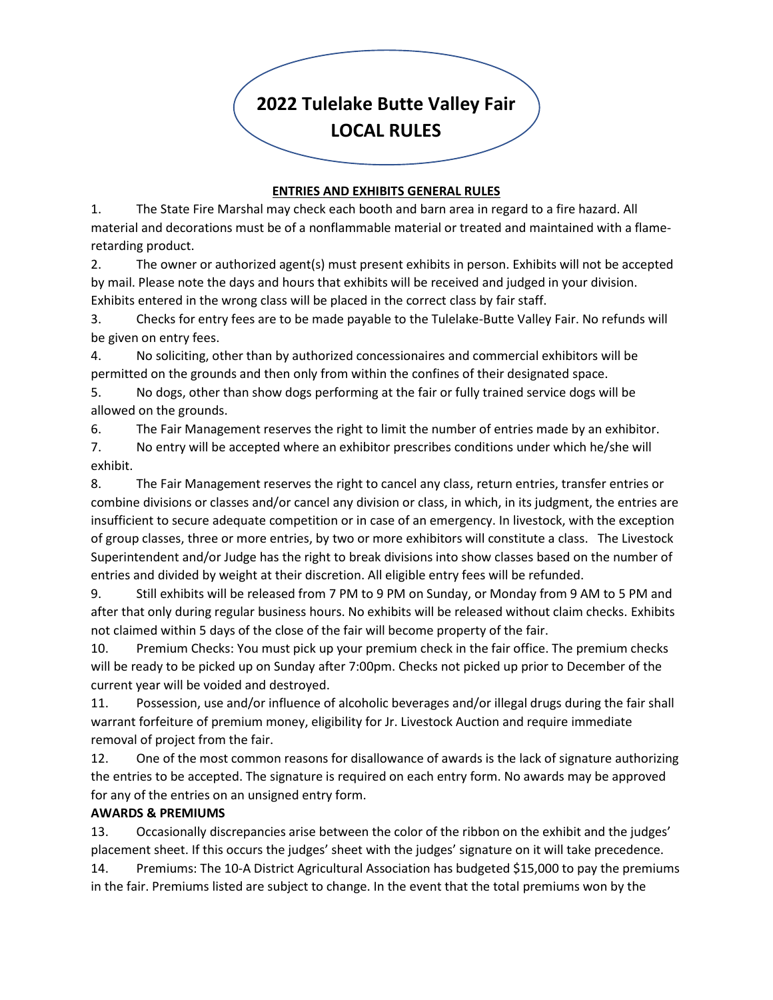# **2022 Tulelake Butte Valley Fair LOCAL RULES**

#### **ENTRIES AND EXHIBITS GENERAL RULES**

1. The State Fire Marshal may check each booth and barn area in regard to a fire hazard. All material and decorations must be of a nonflammable material or treated and maintained with a flameretarding product.

2. The owner or authorized agent(s) must present exhibits in person. Exhibits will not be accepted by mail. Please note the days and hours that exhibits will be received and judged in your division. Exhibits entered in the wrong class will be placed in the correct class by fair staff.

3. Checks for entry fees are to be made payable to the Tulelake-Butte Valley Fair. No refunds will be given on entry fees.

4. No soliciting, other than by authorized concessionaires and commercial exhibitors will be permitted on the grounds and then only from within the confines of their designated space.

5. No dogs, other than show dogs performing at the fair or fully trained service dogs will be allowed on the grounds.

6. The Fair Management reserves the right to limit the number of entries made by an exhibitor.

7. No entry will be accepted where an exhibitor prescribes conditions under which he/she will exhibit.

8. The Fair Management reserves the right to cancel any class, return entries, transfer entries or combine divisions or classes and/or cancel any division or class, in which, in its judgment, the entries are insufficient to secure adequate competition or in case of an emergency. In livestock, with the exception of group classes, three or more entries, by two or more exhibitors will constitute a class. The Livestock Superintendent and/or Judge has the right to break divisions into show classes based on the number of entries and divided by weight at their discretion. All eligible entry fees will be refunded.

9. Still exhibits will be released from 7 PM to 9 PM on Sunday, or Monday from 9 AM to 5 PM and after that only during regular business hours. No exhibits will be released without claim checks. Exhibits not claimed within 5 days of the close of the fair will become property of the fair.

10. Premium Checks: You must pick up your premium check in the fair office. The premium checks will be ready to be picked up on Sunday after 7:00pm. Checks not picked up prior to December of the current year will be voided and destroyed.

11. Possession, use and/or influence of alcoholic beverages and/or illegal drugs during the fair shall warrant forfeiture of premium money, eligibility for Jr. Livestock Auction and require immediate removal of project from the fair.

12. One of the most common reasons for disallowance of awards is the lack of signature authorizing the entries to be accepted. The signature is required on each entry form. No awards may be approved for any of the entries on an unsigned entry form.

# **AWARDS & PREMIUMS**

13. Occasionally discrepancies arise between the color of the ribbon on the exhibit and the judges' placement sheet. If this occurs the judges' sheet with the judges' signature on it will take precedence.

14. Premiums: The 10-A District Agricultural Association has budgeted \$15,000 to pay the premiums in the fair. Premiums listed are subject to change. In the event that the total premiums won by the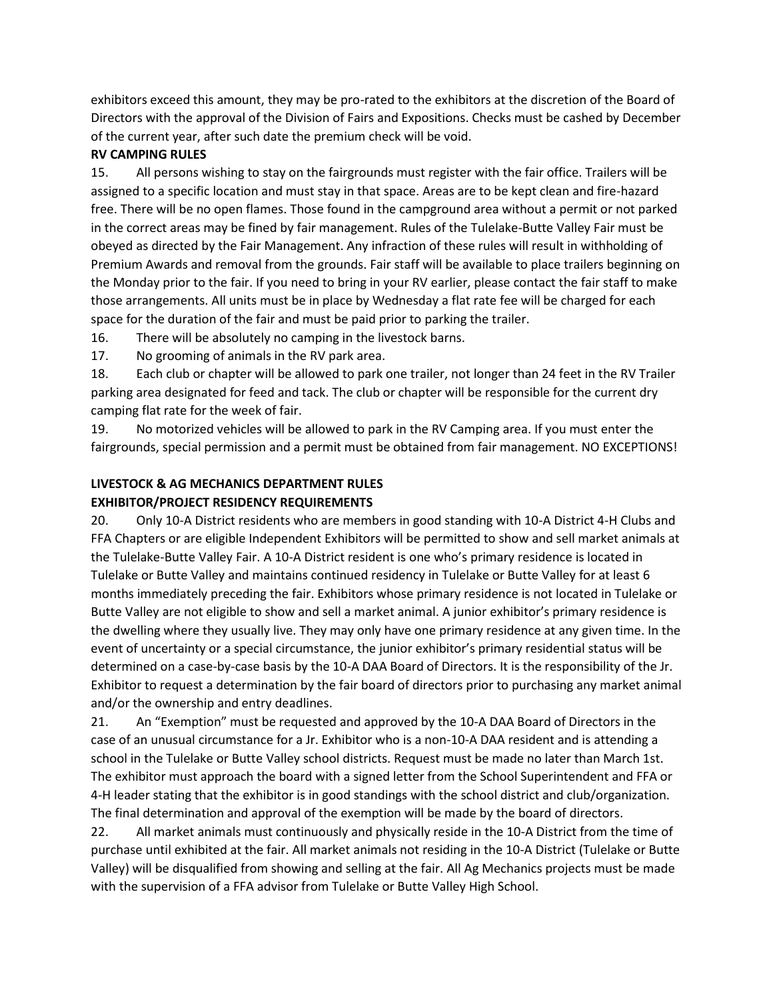exhibitors exceed this amount, they may be pro-rated to the exhibitors at the discretion of the Board of Directors with the approval of the Division of Fairs and Expositions. Checks must be cashed by December of the current year, after such date the premium check will be void.

#### **RV CAMPING RULES**

15. All persons wishing to stay on the fairgrounds must register with the fair office. Trailers will be assigned to a specific location and must stay in that space. Areas are to be kept clean and fire-hazard free. There will be no open flames. Those found in the campground area without a permit or not parked in the correct areas may be fined by fair management. Rules of the Tulelake-Butte Valley Fair must be obeyed as directed by the Fair Management. Any infraction of these rules will result in withholding of Premium Awards and removal from the grounds. Fair staff will be available to place trailers beginning on the Monday prior to the fair. If you need to bring in your RV earlier, please contact the fair staff to make those arrangements. All units must be in place by Wednesday a flat rate fee will be charged for each space for the duration of the fair and must be paid prior to parking the trailer.

16. There will be absolutely no camping in the livestock barns.

17. No grooming of animals in the RV park area.

18. Each club or chapter will be allowed to park one trailer, not longer than 24 feet in the RV Trailer parking area designated for feed and tack. The club or chapter will be responsible for the current dry camping flat rate for the week of fair.

19. No motorized vehicles will be allowed to park in the RV Camping area. If you must enter the fairgrounds, special permission and a permit must be obtained from fair management. NO EXCEPTIONS!

### **LIVESTOCK & AG MECHANICS DEPARTMENT RULES**

#### **EXHIBITOR/PROJECT RESIDENCY REQUIREMENTS**

20. Only 10-A District residents who are members in good standing with 10-A District 4-H Clubs and FFA Chapters or are eligible Independent Exhibitors will be permitted to show and sell market animals at the Tulelake-Butte Valley Fair. A 10-A District resident is one who's primary residence is located in Tulelake or Butte Valley and maintains continued residency in Tulelake or Butte Valley for at least 6 months immediately preceding the fair. Exhibitors whose primary residence is not located in Tulelake or Butte Valley are not eligible to show and sell a market animal. A junior exhibitor's primary residence is the dwelling where they usually live. They may only have one primary residence at any given time. In the event of uncertainty or a special circumstance, the junior exhibitor's primary residential status will be determined on a case-by-case basis by the 10-A DAA Board of Directors. It is the responsibility of the Jr. Exhibitor to request a determination by the fair board of directors prior to purchasing any market animal and/or the ownership and entry deadlines.

21. An "Exemption" must be requested and approved by the 10-A DAA Board of Directors in the case of an unusual circumstance for a Jr. Exhibitor who is a non-10-A DAA resident and is attending a school in the Tulelake or Butte Valley school districts. Request must be made no later than March 1st. The exhibitor must approach the board with a signed letter from the School Superintendent and FFA or 4-H leader stating that the exhibitor is in good standings with the school district and club/organization. The final determination and approval of the exemption will be made by the board of directors.

22. All market animals must continuously and physically reside in the 10-A District from the time of purchase until exhibited at the fair. All market animals not residing in the 10-A District (Tulelake or Butte Valley) will be disqualified from showing and selling at the fair. All Ag Mechanics projects must be made with the supervision of a FFA advisor from Tulelake or Butte Valley High School.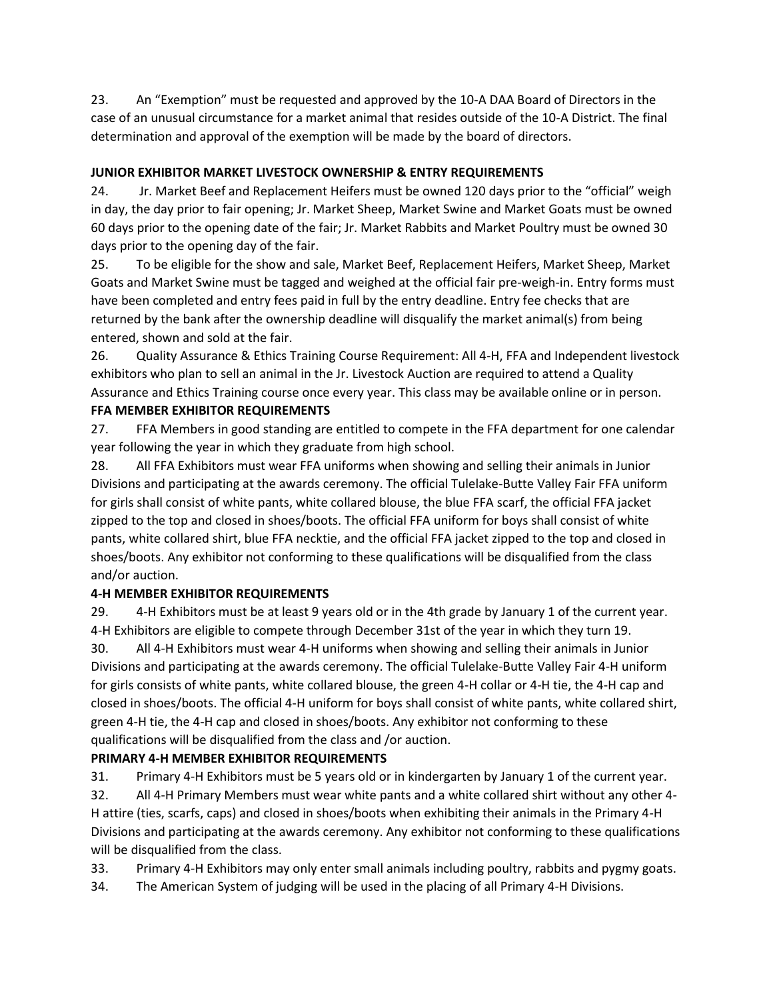23. An "Exemption" must be requested and approved by the 10-A DAA Board of Directors in the case of an unusual circumstance for a market animal that resides outside of the 10-A District. The final determination and approval of the exemption will be made by the board of directors.

# **JUNIOR EXHIBITOR MARKET LIVESTOCK OWNERSHIP & ENTRY REQUIREMENTS**

24. Jr. Market Beef and Replacement Heifers must be owned 120 days prior to the "official" weigh in day, the day prior to fair opening; Jr. Market Sheep, Market Swine and Market Goats must be owned 60 days prior to the opening date of the fair; Jr. Market Rabbits and Market Poultry must be owned 30 days prior to the opening day of the fair.

25. To be eligible for the show and sale, Market Beef, Replacement Heifers, Market Sheep, Market Goats and Market Swine must be tagged and weighed at the official fair pre-weigh-in. Entry forms must have been completed and entry fees paid in full by the entry deadline. Entry fee checks that are returned by the bank after the ownership deadline will disqualify the market animal(s) from being entered, shown and sold at the fair.

26. Quality Assurance & Ethics Training Course Requirement: All 4-H, FFA and Independent livestock exhibitors who plan to sell an animal in the Jr. Livestock Auction are required to attend a Quality Assurance and Ethics Training course once every year. This class may be available online or in person.

#### **FFA MEMBER EXHIBITOR REQUIREMENTS**

27. FFA Members in good standing are entitled to compete in the FFA department for one calendar year following the year in which they graduate from high school.

28. All FFA Exhibitors must wear FFA uniforms when showing and selling their animals in Junior Divisions and participating at the awards ceremony. The official Tulelake-Butte Valley Fair FFA uniform for girls shall consist of white pants, white collared blouse, the blue FFA scarf, the official FFA jacket zipped to the top and closed in shoes/boots. The official FFA uniform for boys shall consist of white pants, white collared shirt, blue FFA necktie, and the official FFA jacket zipped to the top and closed in shoes/boots. Any exhibitor not conforming to these qualifications will be disqualified from the class and/or auction.

# **4-H MEMBER EXHIBITOR REQUIREMENTS**

29. 4-H Exhibitors must be at least 9 years old or in the 4th grade by January 1 of the current year. 4-H Exhibitors are eligible to compete through December 31st of the year in which they turn 19.

30. All 4-H Exhibitors must wear 4-H uniforms when showing and selling their animals in Junior Divisions and participating at the awards ceremony. The official Tulelake-Butte Valley Fair 4-H uniform for girls consists of white pants, white collared blouse, the green 4-H collar or 4-H tie, the 4-H cap and closed in shoes/boots. The official 4-H uniform for boys shall consist of white pants, white collared shirt, green 4-H tie, the 4-H cap and closed in shoes/boots. Any exhibitor not conforming to these qualifications will be disqualified from the class and /or auction.

# **PRIMARY 4-H MEMBER EXHIBITOR REQUIREMENTS**

31. Primary 4-H Exhibitors must be 5 years old or in kindergarten by January 1 of the current year.

32. All 4-H Primary Members must wear white pants and a white collared shirt without any other 4- H attire (ties, scarfs, caps) and closed in shoes/boots when exhibiting their animals in the Primary 4-H Divisions and participating at the awards ceremony. Any exhibitor not conforming to these qualifications will be disqualified from the class.

33. Primary 4-H Exhibitors may only enter small animals including poultry, rabbits and pygmy goats.

34. The American System of judging will be used in the placing of all Primary 4-H Divisions.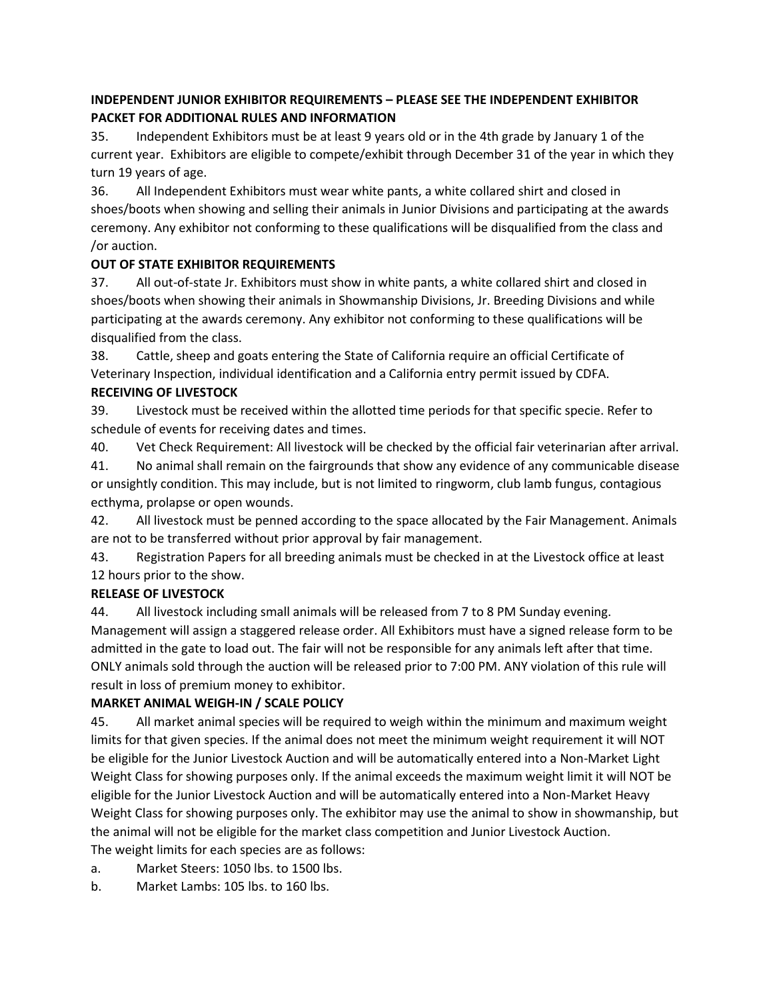# **INDEPENDENT JUNIOR EXHIBITOR REQUIREMENTS – PLEASE SEE THE INDEPENDENT EXHIBITOR PACKET FOR ADDITIONAL RULES AND INFORMATION**

35. Independent Exhibitors must be at least 9 years old or in the 4th grade by January 1 of the current year. Exhibitors are eligible to compete/exhibit through December 31 of the year in which they turn 19 years of age.

36. All Independent Exhibitors must wear white pants, a white collared shirt and closed in shoes/boots when showing and selling their animals in Junior Divisions and participating at the awards ceremony. Any exhibitor not conforming to these qualifications will be disqualified from the class and /or auction.

### **OUT OF STATE EXHIBITOR REQUIREMENTS**

37. All out-of-state Jr. Exhibitors must show in white pants, a white collared shirt and closed in shoes/boots when showing their animals in Showmanship Divisions, Jr. Breeding Divisions and while participating at the awards ceremony. Any exhibitor not conforming to these qualifications will be disqualified from the class.

38. Cattle, sheep and goats entering the State of California require an official Certificate of Veterinary Inspection, individual identification and a California entry permit issued by CDFA.

### **RECEIVING OF LIVESTOCK**

39. Livestock must be received within the allotted time periods for that specific specie. Refer to schedule of events for receiving dates and times.

40. Vet Check Requirement: All livestock will be checked by the official fair veterinarian after arrival. 41. No animal shall remain on the fairgrounds that show any evidence of any communicable disease or unsightly condition. This may include, but is not limited to ringworm, club lamb fungus, contagious ecthyma, prolapse or open wounds.

42. All livestock must be penned according to the space allocated by the Fair Management. Animals are not to be transferred without prior approval by fair management.

43. Registration Papers for all breeding animals must be checked in at the Livestock office at least 12 hours prior to the show.

# **RELEASE OF LIVESTOCK**

44. All livestock including small animals will be released from 7 to 8 PM Sunday evening. Management will assign a staggered release order. All Exhibitors must have a signed release form to be admitted in the gate to load out. The fair will not be responsible for any animals left after that time. ONLY animals sold through the auction will be released prior to 7:00 PM. ANY violation of this rule will result in loss of premium money to exhibitor.

# **MARKET ANIMAL WEIGH-IN / SCALE POLICY**

45. All market animal species will be required to weigh within the minimum and maximum weight limits for that given species. If the animal does not meet the minimum weight requirement it will NOT be eligible for the Junior Livestock Auction and will be automatically entered into a Non-Market Light Weight Class for showing purposes only. If the animal exceeds the maximum weight limit it will NOT be eligible for the Junior Livestock Auction and will be automatically entered into a Non-Market Heavy Weight Class for showing purposes only. The exhibitor may use the animal to show in showmanship, but the animal will not be eligible for the market class competition and Junior Livestock Auction. The weight limits for each species are as follows:

a. Market Steers: 1050 lbs. to 1500 lbs.

b. Market Lambs: 105 lbs. to 160 lbs.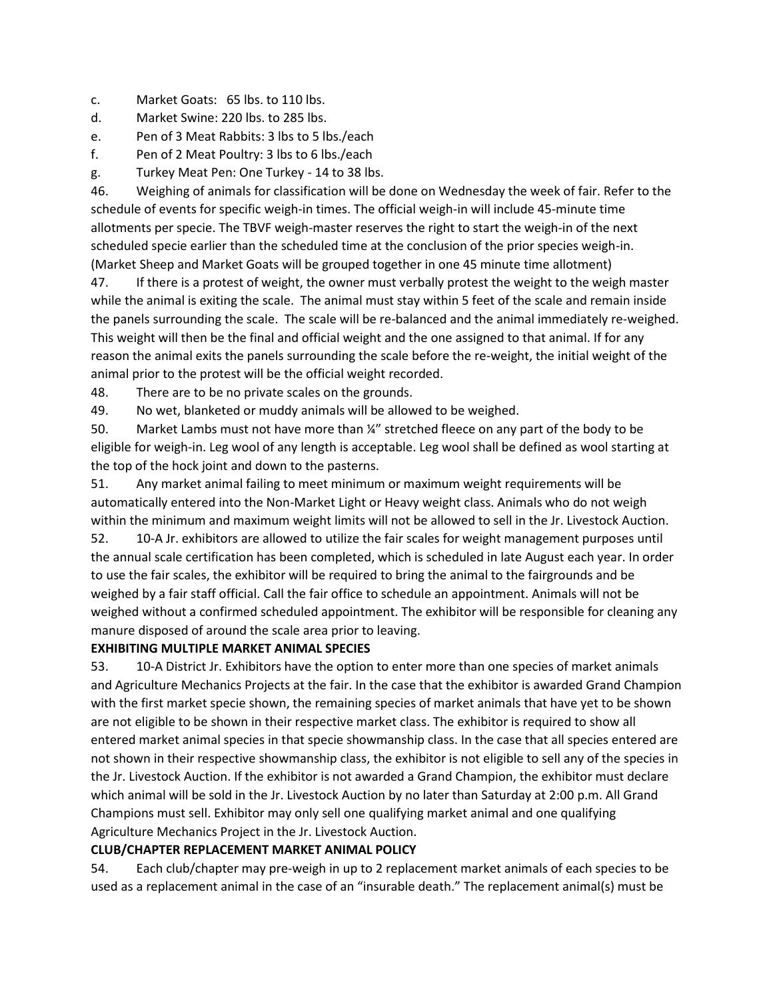- c. Market Goats: 65 lbs. to 110 lbs.
- d. Market Swine: 220 lbs. to 285 lbs.
- e. Pen of 3 Meat Rabbits: 3 lbs to 5 lbs./each
- f. Pen of 2 Meat Poultry: 3 lbs to 6 lbs./each
- g. Turkey Meat Pen: One Turkey 14 to 38 lbs.

46. Weighing of animals for classification will be done on Wednesday the week of fair. Refer to the schedule of events for specific weigh-in times. The official weigh-in will include 45-minute time allotments per specie. The TBVF weigh-master reserves the right to start the weigh-in of the next scheduled specie earlier than the scheduled time at the conclusion of the prior species weigh-in. (Market Sheep and Market Goats will be grouped together in one 45 minute time allotment)

47. If there is a protest of weight, the owner must verbally protest the weight to the weigh master while the animal is exiting the scale. The animal must stay within 5 feet of the scale and remain inside the panels surrounding the scale. The scale will be re-balanced and the animal immediately re-weighed. This weight will then be the final and official weight and the one assigned to that animal. If for any reason the animal exits the panels surrounding the scale before the re-weight, the initial weight of the animal prior to the protest will be the official weight recorded.

- 48. There are to be no private scales on the grounds.
- 49. No wet, blanketed or muddy animals will be allowed to be weighed.

50. Market Lambs must not have more than ¼" stretched fleece on any part of the body to be eligible for weigh-in. Leg wool of any length is acceptable. Leg wool shall be defined as wool starting at the top of the hock joint and down to the pasterns.

51. Any market animal failing to meet minimum or maximum weight requirements will be automatically entered into the Non-Market Light or Heavy weight class. Animals who do not weigh within the minimum and maximum weight limits will not be allowed to sell in the Jr. Livestock Auction.

52. 10-A Jr. exhibitors are allowed to utilize the fair scales for weight management purposes until the annual scale certification has been completed, which is scheduled in late August each year. In order to use the fair scales, the exhibitor will be required to bring the animal to the fairgrounds and be weighed by a fair staff official. Call the fair office to schedule an appointment. Animals will not be weighed without a confirmed scheduled appointment. The exhibitor will be responsible for cleaning any manure disposed of around the scale area prior to leaving.

#### **EXHIBITING MULTIPLE MARKET ANIMAL SPECIES**

53. 10-A District Jr. Exhibitors have the option to enter more than one species of market animals and Agriculture Mechanics Projects at the fair. In the case that the exhibitor is awarded Grand Champion with the first market specie shown, the remaining species of market animals that have yet to be shown are not eligible to be shown in their respective market class. The exhibitor is required to show all entered market animal species in that specie showmanship class. In the case that all species entered are not shown in their respective showmanship class, the exhibitor is not eligible to sell any of the species in the Jr. Livestock Auction. If the exhibitor is not awarded a Grand Champion, the exhibitor must declare which animal will be sold in the Jr. Livestock Auction by no later than Saturday at 2:00 p.m. All Grand Champions must sell. Exhibitor may only sell one qualifying market animal and one qualifying Agriculture Mechanics Project in the Jr. Livestock Auction.

#### **CLUB/CHAPTER REPLACEMENT MARKET ANIMAL POLICY**

54. Each club/chapter may pre-weigh in up to 2 replacement market animals of each species to be used as a replacement animal in the case of an "insurable death." The replacement animal(s) must be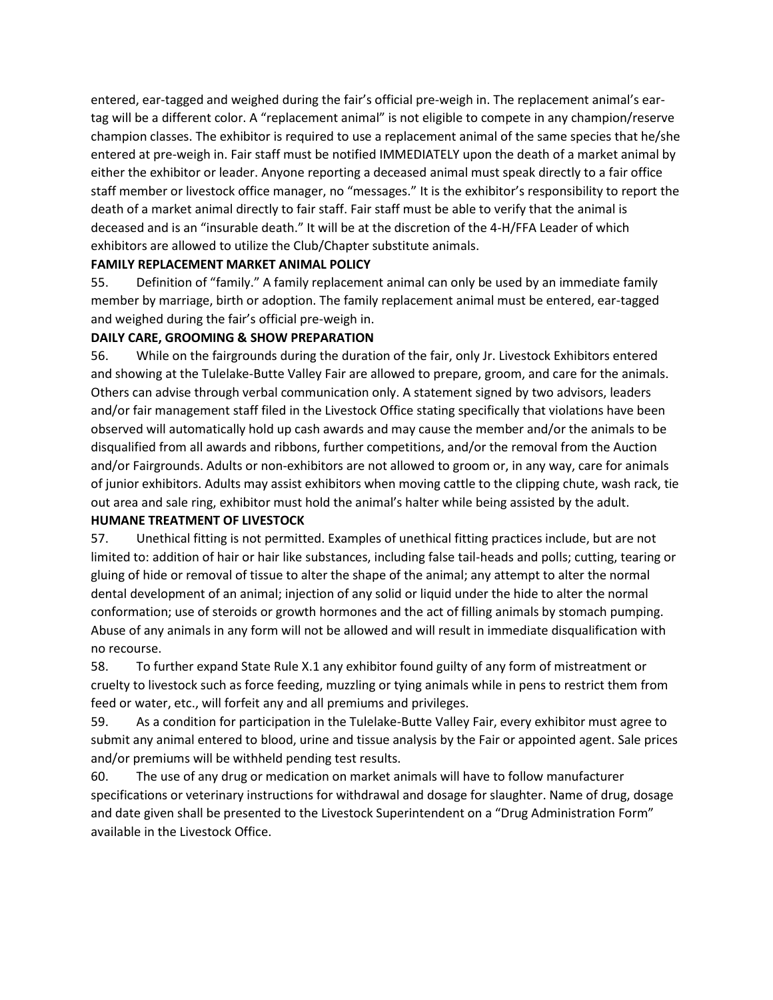entered, ear-tagged and weighed during the fair's official pre-weigh in. The replacement animal's eartag will be a different color. A "replacement animal" is not eligible to compete in any champion/reserve champion classes. The exhibitor is required to use a replacement animal of the same species that he/she entered at pre-weigh in. Fair staff must be notified IMMEDIATELY upon the death of a market animal by either the exhibitor or leader. Anyone reporting a deceased animal must speak directly to a fair office staff member or livestock office manager, no "messages." It is the exhibitor's responsibility to report the death of a market animal directly to fair staff. Fair staff must be able to verify that the animal is deceased and is an "insurable death." It will be at the discretion of the 4-H/FFA Leader of which exhibitors are allowed to utilize the Club/Chapter substitute animals.

#### **FAMILY REPLACEMENT MARKET ANIMAL POLICY**

55. Definition of "family." A family replacement animal can only be used by an immediate family member by marriage, birth or adoption. The family replacement animal must be entered, ear-tagged and weighed during the fair's official pre-weigh in.

#### **DAILY CARE, GROOMING & SHOW PREPARATION**

56. While on the fairgrounds during the duration of the fair, only Jr. Livestock Exhibitors entered and showing at the Tulelake-Butte Valley Fair are allowed to prepare, groom, and care for the animals. Others can advise through verbal communication only. A statement signed by two advisors, leaders and/or fair management staff filed in the Livestock Office stating specifically that violations have been observed will automatically hold up cash awards and may cause the member and/or the animals to be disqualified from all awards and ribbons, further competitions, and/or the removal from the Auction and/or Fairgrounds. Adults or non-exhibitors are not allowed to groom or, in any way, care for animals of junior exhibitors. Adults may assist exhibitors when moving cattle to the clipping chute, wash rack, tie out area and sale ring, exhibitor must hold the animal's halter while being assisted by the adult.

#### **HUMANE TREATMENT OF LIVESTOCK**

57. Unethical fitting is not permitted. Examples of unethical fitting practices include, but are not limited to: addition of hair or hair like substances, including false tail-heads and polls; cutting, tearing or gluing of hide or removal of tissue to alter the shape of the animal; any attempt to alter the normal dental development of an animal; injection of any solid or liquid under the hide to alter the normal conformation; use of steroids or growth hormones and the act of filling animals by stomach pumping. Abuse of any animals in any form will not be allowed and will result in immediate disqualification with no recourse.

58. To further expand State Rule X.1 any exhibitor found guilty of any form of mistreatment or cruelty to livestock such as force feeding, muzzling or tying animals while in pens to restrict them from feed or water, etc., will forfeit any and all premiums and privileges.

59. As a condition for participation in the Tulelake-Butte Valley Fair, every exhibitor must agree to submit any animal entered to blood, urine and tissue analysis by the Fair or appointed agent. Sale prices and/or premiums will be withheld pending test results.

60. The use of any drug or medication on market animals will have to follow manufacturer specifications or veterinary instructions for withdrawal and dosage for slaughter. Name of drug, dosage and date given shall be presented to the Livestock Superintendent on a "Drug Administration Form" available in the Livestock Office.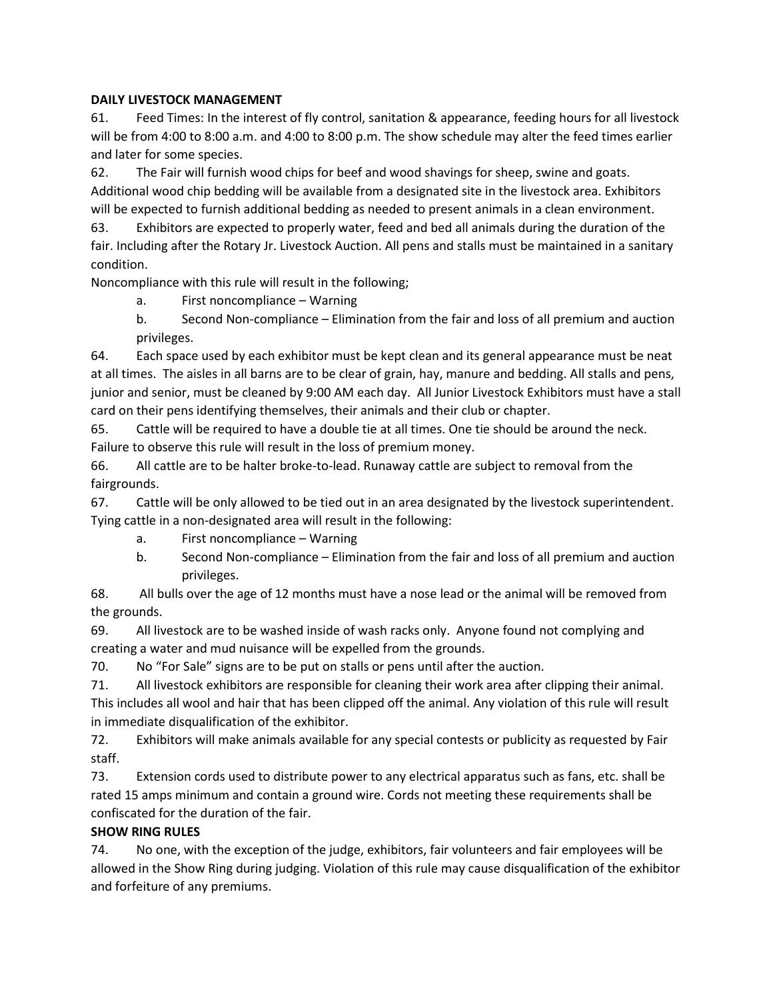#### **DAILY LIVESTOCK MANAGEMENT**

61. Feed Times: In the interest of fly control, sanitation & appearance, feeding hours for all livestock will be from 4:00 to 8:00 a.m. and 4:00 to 8:00 p.m. The show schedule may alter the feed times earlier and later for some species.

62. The Fair will furnish wood chips for beef and wood shavings for sheep, swine and goats. Additional wood chip bedding will be available from a designated site in the livestock area. Exhibitors will be expected to furnish additional bedding as needed to present animals in a clean environment.

63. Exhibitors are expected to properly water, feed and bed all animals during the duration of the fair. Including after the Rotary Jr. Livestock Auction. All pens and stalls must be maintained in a sanitary condition.

Noncompliance with this rule will result in the following;

- a. First noncompliance Warning
- b. Second Non-compliance Elimination from the fair and loss of all premium and auction privileges.

64. Each space used by each exhibitor must be kept clean and its general appearance must be neat at all times. The aisles in all barns are to be clear of grain, hay, manure and bedding. All stalls and pens, junior and senior, must be cleaned by 9:00 AM each day. All Junior Livestock Exhibitors must have a stall card on their pens identifying themselves, their animals and their club or chapter.

65. Cattle will be required to have a double tie at all times. One tie should be around the neck. Failure to observe this rule will result in the loss of premium money.

66. All cattle are to be halter broke-to-lead. Runaway cattle are subject to removal from the fairgrounds.

67. Cattle will be only allowed to be tied out in an area designated by the livestock superintendent. Tying cattle in a non-designated area will result in the following:

- a. First noncompliance Warning
- b. Second Non-compliance Elimination from the fair and loss of all premium and auction privileges.

68. All bulls over the age of 12 months must have a nose lead or the animal will be removed from the grounds.

69. All livestock are to be washed inside of wash racks only. Anyone found not complying and creating a water and mud nuisance will be expelled from the grounds.

70. No "For Sale" signs are to be put on stalls or pens until after the auction.

71. All livestock exhibitors are responsible for cleaning their work area after clipping their animal.

This includes all wool and hair that has been clipped off the animal. Any violation of this rule will result in immediate disqualification of the exhibitor.

72. Exhibitors will make animals available for any special contests or publicity as requested by Fair staff.

73. Extension cords used to distribute power to any electrical apparatus such as fans, etc. shall be rated 15 amps minimum and contain a ground wire. Cords not meeting these requirements shall be confiscated for the duration of the fair.

#### **SHOW RING RULES**

74. No one, with the exception of the judge, exhibitors, fair volunteers and fair employees will be allowed in the Show Ring during judging. Violation of this rule may cause disqualification of the exhibitor and forfeiture of any premiums.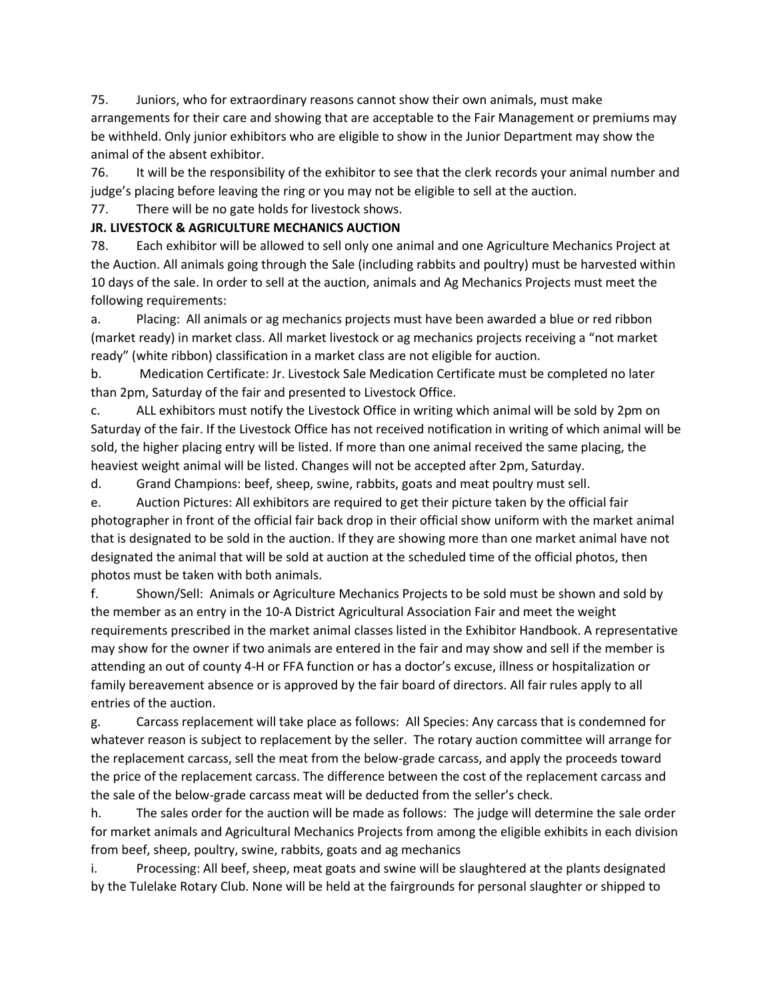75. Juniors, who for extraordinary reasons cannot show their own animals, must make arrangements for their care and showing that are acceptable to the Fair Management or premiums may be withheld. Only junior exhibitors who are eligible to show in the Junior Department may show the animal of the absent exhibitor.

76. It will be the responsibility of the exhibitor to see that the clerk records your animal number and judge's placing before leaving the ring or you may not be eligible to sell at the auction.

# 77. There will be no gate holds for livestock shows.

# **JR. LIVESTOCK & AGRICULTURE MECHANICS AUCTION**

78. Each exhibitor will be allowed to sell only one animal and one Agriculture Mechanics Project at the Auction. All animals going through the Sale (including rabbits and poultry) must be harvested within 10 days of the sale. In order to sell at the auction, animals and Ag Mechanics Projects must meet the following requirements:

a. Placing: All animals or ag mechanics projects must have been awarded a blue or red ribbon (market ready) in market class. All market livestock or ag mechanics projects receiving a "not market ready" (white ribbon) classification in a market class are not eligible for auction.

b. Medication Certificate: Jr. Livestock Sale Medication Certificate must be completed no later than 2pm, Saturday of the fair and presented to Livestock Office.

c. ALL exhibitors must notify the Livestock Office in writing which animal will be sold by 2pm on Saturday of the fair. If the Livestock Office has not received notification in writing of which animal will be sold, the higher placing entry will be listed. If more than one animal received the same placing, the heaviest weight animal will be listed. Changes will not be accepted after 2pm, Saturday.

d. Grand Champions: beef, sheep, swine, rabbits, goats and meat poultry must sell.

e. Auction Pictures: All exhibitors are required to get their picture taken by the official fair photographer in front of the official fair back drop in their official show uniform with the market animal that is designated to be sold in the auction. If they are showing more than one market animal have not designated the animal that will be sold at auction at the scheduled time of the official photos, then photos must be taken with both animals.

f. Shown/Sell: Animals or Agriculture Mechanics Projects to be sold must be shown and sold by the member as an entry in the 10-A District Agricultural Association Fair and meet the weight requirements prescribed in the market animal classes listed in the Exhibitor Handbook. A representative may show for the owner if two animals are entered in the fair and may show and sell if the member is attending an out of county 4-H or FFA function or has a doctor's excuse, illness or hospitalization or family bereavement absence or is approved by the fair board of directors. All fair rules apply to all entries of the auction.

g. Carcass replacement will take place as follows: All Species: Any carcass that is condemned for whatever reason is subject to replacement by the seller. The rotary auction committee will arrange for the replacement carcass, sell the meat from the below-grade carcass, and apply the proceeds toward the price of the replacement carcass. The difference between the cost of the replacement carcass and the sale of the below-grade carcass meat will be deducted from the seller's check.

h. The sales order for the auction will be made as follows: The judge will determine the sale order for market animals and Agricultural Mechanics Projects from among the eligible exhibits in each division from beef, sheep, poultry, swine, rabbits, goats and ag mechanics

i. Processing: All beef, sheep, meat goats and swine will be slaughtered at the plants designated by the Tulelake Rotary Club. None will be held at the fairgrounds for personal slaughter or shipped to